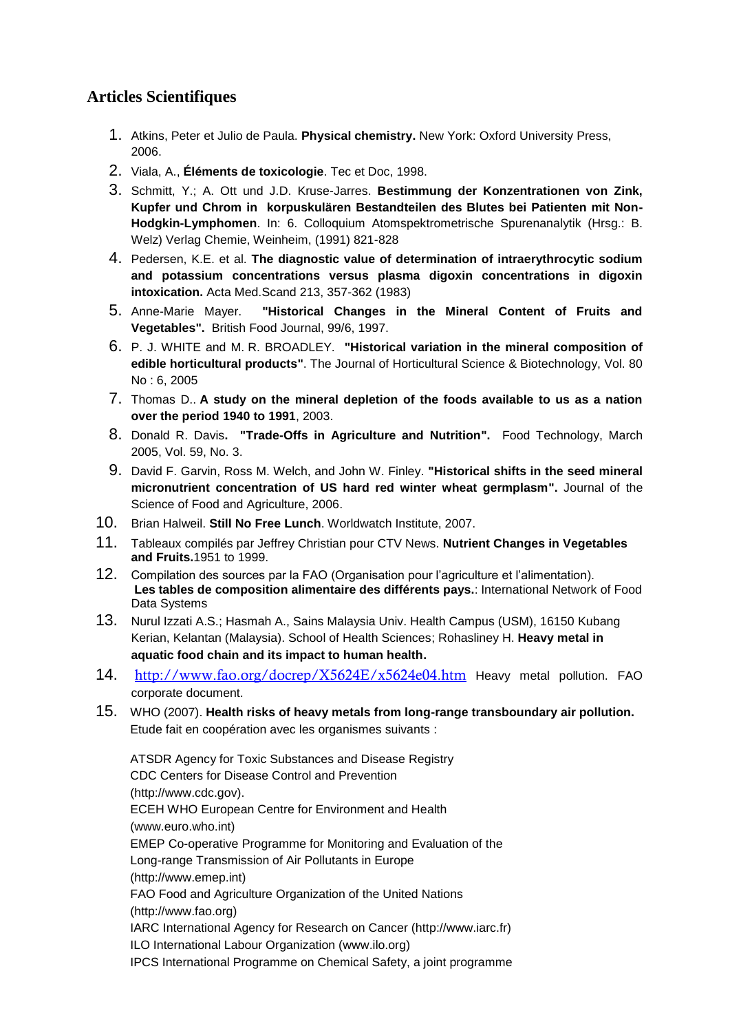## **Articles Scientifiques**

- 1. Atkins, Peter et Julio de Paula. **Physical chemistry.** New York: Oxford University Press, 2006.
- 2. Viala, A., **Éléments de toxicologie**. Tec et Doc, 1998.
- 3. Schmitt, Y.; A. Ott und J.D. Kruse-Jarres. **Bestimmung der Konzentrationen von Zink, Kupfer und Chrom in korpuskulären Bestandteilen des Blutes bei Patienten mit Non-Hodgkin-Lymphomen**. In: 6. Colloquium Atomspektrometrische Spurenanalytik (Hrsg.: B. Welz) Verlag Chemie, Weinheim, (1991) 821-828
- 4. Pedersen, K.E. et al. **The diagnostic value of determination of intraerythrocytic sodium and potassium concentrations versus plasma digoxin concentrations in digoxin intoxication.** Acta Med.Scand 213, 357-362 (1983)
- 5. Anne-Marie Mayer. **["Historical Changes in the Mineral Content of Fruits and](http://www.emeraldinsight.com/journals.htm?articleid=870383&show=pdf)  [Vegetables"](http://www.emeraldinsight.com/journals.htm?articleid=870383&show=pdf).** British Food Journal, 99/6, 1997.
- 6. P. J. WHITE and M. R. BROADLEY. **["Historical variation in the mineral composition of](http://www.pubhort.org/jhsb/Vol80/80_6/3.htm)  [edible horticultural products"](http://www.pubhort.org/jhsb/Vol80/80_6/3.htm)**. The Journal of Horticultural Science & Biotechnology, Vol. 80 No : 6, 2005
- 7. Thomas D.. **[A study on the mineral depletion of the foods available to us as a nation](http://www.ncbi.nlm.nih.gov/pubmed/14653505)  [over the period 1940 to 1991](http://www.ncbi.nlm.nih.gov/pubmed/14653505)**, 2003.
- 8. Donald R. Davis**. ["Trade-Offs in Agriculture and Nutrition"](http://www.organic-center.org/reportfiles/Trade-offs%20in%20agriculture%20and%20nutrition,%20Davis,%20Food%20Technology%20March%202005.pdf).** Food Technology, March 2005, Vol. 59, No. 3.
- 9. David F. Garvin, Ross M. Welch, and John W. Finley. **["Historical shifts in the seed mineral](http://cat.inist.fr/?aModele=afficheN&cpsidt=18139766)  [micronutrient concentration of US hard red winter wheat germplasm"](http://cat.inist.fr/?aModele=afficheN&cpsidt=18139766).** Journal of the Science of Food and Agriculture, 2006.
- 10. Brian Halweil. **[Still No Free Lunch](http://www.organic-center.org/science.nutri.php?action=view&report_id=115)**. Worldwatch Institute, 2007.
- 11. Tableaux compilés par Jeffrey Christian pour CTV News. **[Nutrient Changes in Vegetables](http://www.ctv.ca/CTVNews/Health/20020705/favaro_nutrients_chart_020705/)  [and Fruits.](http://www.ctv.ca/CTVNews/Health/20020705/favaro_nutrients_chart_020705/)**1951 to 1999.
- 12. Compilation des sources par la FAO (Organisation pour l'agriculture et l'alimentation). **Les [tables de composition alimentaire](http://www.fao.org/infoods/directory_en.stm) des différents pays.**: [International Network of Food](http://www.fao.org/infoods/data_en.stm)  [Data Systems](http://www.fao.org/infoods/data_en.stm)
- 13. [Nurul Izzati A.S.;](http://agris.fao.org/?query=%2Bauthor:%22Nurul%20Izzati%20A.S.%22) [Hasmah A., Sains Malaysia Univ. Health Campus \(USM\), 16150 Kubang](http://agris.fao.org/?query=%2Bauthor:%22Hasmah%20A.,%20Sains%20Malaysia%20Univ.%20Health%20Campus%22)  [Kerian, Kelantan \(Malaysia\). School of Health Sciences;](http://agris.fao.org/?query=%2Bauthor:%22Hasmah%20A.,%20Sains%20Malaysia%20Univ.%20Health%20Campus%22) [Rohasliney H.](http://agris.fao.org/?query=%2Bauthor:%22Rohasliney%20H.%22) **Heavy metal in aquatic food chain and its impact to human health.**
- 14. <http://www.fao.org/docrep/X5624E/x5624e04.htm> Heavy metal pollution. FAO corporate document.
- 15. WHO (2007). **Health risks of heavy metals from long-range transboundary air pollution.**  Etude fait en coopération avec les organismes suivants :

ATSDR Agency for Toxic Substances and Disease Registry CDC Centers for Disease Control and Prevention (http://www.cdc.gov). ECEH WHO European Centre for Environment and Health (www.euro.who.int) EMEP Co-operative Programme for Monitoring and Evaluation of the Long-range Transmission of Air Pollutants in Europe (http://www.emep.int) FAO Food and Agriculture Organization of the United Nations (http://www.fao.org) IARC International Agency for Research on Cancer (http://www.iarc.fr) ILO International Labour Organization (www.ilo.org) IPCS International Programme on Chemical Safety, a joint programme